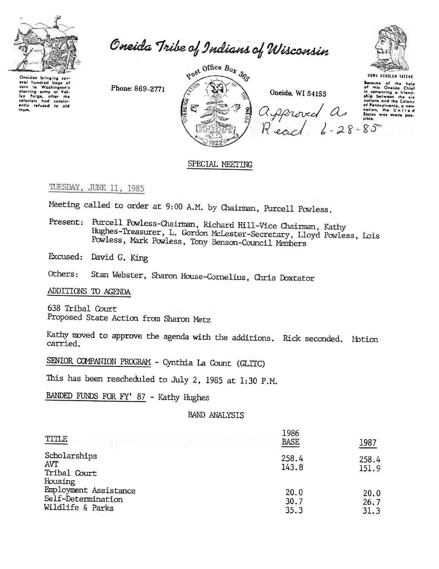

Oneida Tribe of Indians of Wisconsin

oral hundred baas of eral numeral bags of<br>corn to Washington's<br>tarving army at Val-<br>ley Forge, after the<br>colonists had consist-<br>ently refused to aid<br>them. Phone: 869-2771





**UGWA DEHOLUN YATEHE** 

UEWA DENOLUN YATENE

## SPECIAL MEETING

# TUESDAY, JUNE 11, 1985

Meeting called to order at 9:00 A.M. by Chairman, Purcell Powless.

Present: Purcell Powless-Chairman, Richard Hill-Vice Chairman, Kathy Hughes-Treasurer, L. Gordon McLester-Secretary, Lloyd Powless, Lois Powless, Mark Powless, Tony Benson-Council Members

Excused: David G. King

Stan Webster, Sharon House-Cornelius, Chris Doxtator Others:

ADDITIONS TO AGENDA

638 Tribal Court Proposed State Action from Sharon Metz

Kathy moved to approve the agenda with the additions. Rick seconded. Motion carried.

SENIOR COMPANION PROGRAM - Cynthia La Count (GLITC)

This has been rescheduled to July 2, 1985 at 1:30 P.M.

BANDED FUNDS FOR FY' 87 - Kathy Hughes

### **BAND ANALYSIS**

| TITLE                                                                      | 1986<br><b>BASE</b>  | 1987                 |
|----------------------------------------------------------------------------|----------------------|----------------------|
| Scholarships<br><b>AVT</b><br>Tribal Court                                 | 258.4<br>143.8       | 258.4<br>151.9       |
| Housing<br>Employment Assistance<br>Self-Determination<br>Wildlife & Parks | 20.0<br>30.7<br>35.3 | 20.0<br>26.7<br>31.3 |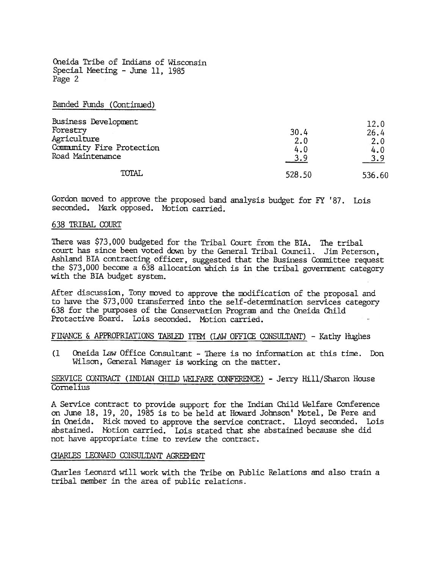Banded Funds (Continued)

| Business Development      |        | 12.0   |
|---------------------------|--------|--------|
| Forestry                  | 30.4   | 26.4   |
| Agriculture               | 2.0    | 2.0    |
| Community Fire Protection | 4.0    | 4.0    |
| Road Maintenance          | 3.9    | 3.9    |
| <b>TOTAL</b>              | 528.50 | 536.60 |

Gordon moved to approve the proposed band analysis budget for FY '87. Lois seconded. Mark opposed. Motion carried.

#### 638 TRIBAL COURT

There was \$73,000 budgeted for the Tribal Court from the BIA. The trib court has since been voted down by the General Tribal Council. Jim Peterson Ashland BIA contracting officer, suggested that the Business Committee request the  $$73,000$  become a 638 allocation which is in the tribal government category with the BIA budget system.

After discussion, Tony moved to approve the modification of the proposal and to have the \$73, 000 transferred into the self-determination services category 638 for the purposes of the Conservation Program and the Oneida Child Protective Board. Lois seconded. Motion carried.

FINANCE & APPROPRIATIONS TABLED ITEM (LAW OFFICE CONSULTANT) - Kathy Hughes

(1 Oneida Law Office Consultant - There is no information at this time. Don Wilson, General Manager is working on the matter.

### SERVICE CONTRACT (INDIAN CHILD WELFARE CONFERENCE) - Jerry Hill/Sharon House Cornelius

A Service contract to provide support for the Indian Child Welfare Conference on June 18, 19, 20, 1985 is to be held at HOward Johnson' Mbtel, De Pere and in Oneida. Rick moved to approve the service contract. Lloyd seconded. Lois abstained. Notion carried. Lois stated that she abstained because she did not have appropriate time to review the contract.

#### CHARLES LEONARD CONSULTANT AGREEMENT

Charles Leonard will work with the Tribe on Public Relations and also train a tribal member in the area of public relations.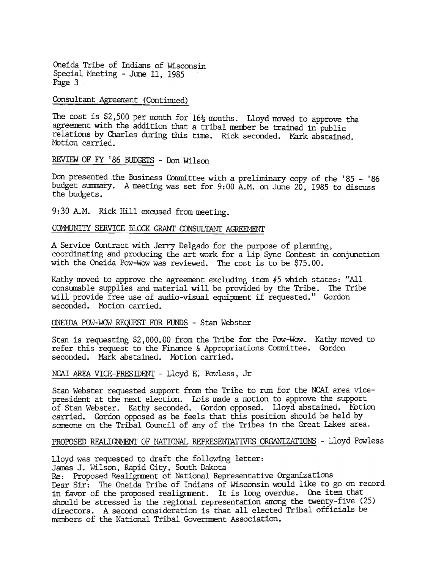# Consultant Agreement (Continued)

The cost is \$2,500 per month for  $16\frac{1}{2}$  months. Lloyd moved to approve the agreement with the addition that a tribal member be trained in public relations by Charles during this time. Rick seconded. Mark abstained. Motion carried.

# REVIEW OF FY '86 BUDGETS - Don Wilson

Don presented the Business Committee with a preliminary copy of the '85 - '86 budget summary. A meeting was set for 9: 00 A.M. on June 20, 1985 to discuss the budgets.

9:30 A.M. Rick Hill excused from meeting.

### COMMUNITY SERVICE BLOCK GRANT CONSULTANT AGREEMENT

A Service Contract with Jerry Delgado for the purpose of planning, coordinating and producing the art work for a Lip Sync Contest in conjunction with the Oneida Pow-Wow was reviewed. The cost is to be \$75.00.

Kathy moved to approve the agreement excluding item #5 which states: "All consumable supplies and material will be provided by the Tribe. The Tribe will provide free use of audio-visual equipment if requested." Gordon seconded. Motion carried.

#### ONEIDA POW-WOW REQUEST FOR FUNDS - Stan Webster

Stan is requesting \$2,000.00 from the Tribe for the Pow-Wow. Kathy moved to refer this request to the Finance & Appropriations Committee. Gordon seconded. Mark abstained. Motion carried.

NCAI AREA VICE-PRESIDENT - Lloyd E. Powless, Jr.

Stan Webster requested support from the Tribe to run for the NCAI area vicepresident at the next election. Lois made a motion to approve the support of Stan Webster. Kathy seconded. Gordon opposed. Lloyd abstained. Motion carried. Gordon opposed as he feels that this position should be held by some on the Tribal Council of any of the Tribes in the Great Lakes area.

# PROPOSED REALIGNMENT OF NATIONAL REPRESENTATIVES ORGANIZATIONS - Lloyd Powless

Lloyd was requested to draft the following letter:

James J. Wilson, Rapid City, South Dakota

Re: Proposed Realignment of National Representative Organizatio Dear Sir: The Oneida Tribe of Indians of Wisconsin would like to go on record in favor of the proposed realignment. It is long overdue. One item that should be stressed is the regional representation among the twenty-five (25) directors. A second consideration is that all elected Tribal officials be members of the National Tribal Government Association.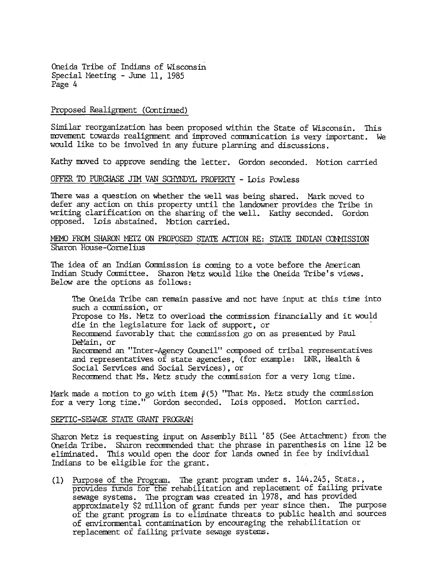#### Proposed Realignment (Continued)

Similar reorganization has been proposed within the State of Wisconsin. This movement towards realignment and improved communication is very important. We would like to be involved in any future planning and discussions.

Kathy moved to approve sending the letter. Gordon seconded. Motion carried

### OFFER TO PURCHASE JIM VAN SCHYNDYL PROPERTY - Lois Powless

There was a question on whether the well was being shared. Mark moved to defer any action on this property until the landowner provides the Tribe in writing clarification on the sharing of the well. Kathy seconded. Gordon opposed. Lois abstained. Mbtion carried.

### MEMO FROM SHARON METZ ON PROPOSED STATE ACTION RE: STATE INDIAN COMMISSION Sharon House -Come lius

The idea of an Indian Conmission is coming to a vote before the American Indian Study Committee. Sharon Metz would like the Oneida Tribe's views Below are the options as follows:

The Oneida Tribe can remain passive and not have input at this time into such a commission, or Propose to Ms. Metz to overload the commission financially and it would die in the legislature for lack of support, or Recommend favorably that the commission go on as presented by Paul DeMain. or Recommend an "Inter-Agency Council" composed of tribal representatives and representatives of state agencies, (for example: DNR, Health  $\&$ Social Services and Social Services), or Recommend that Ms. Metz study the commission for a very long time.

Mark made a motion to go with item  $\#(5)$  "That Ms. Metz study the commission for a very long time." Gordon seconded. Lois opposed. Motion carrie

#### SEPTIC-SEWAGE STATE GRANT PROGRAM

Sharon Metz is requesting input on Assembly Bill' 85 (See Attachment) from the Oneida Tribe. Sharon recommended that the phrase in parenthesis on line 12 be eliminated. This would open the door for lands owned in fee by individual Indians to be eligible for the grant.

(1) Purpose of the Program. The grant program under s. 144.245, Stats., provides funds for the rehabilitation and replacement of failing private sewage systems. The program was created in 1978, and has provide approximately  $$2$  million of grant funds per year since then. The purpose of the grant program is to eliminate threats to public health and sources of enviromental contamination by encouraging the rehabilitation or replacement of failing private sewage systems.